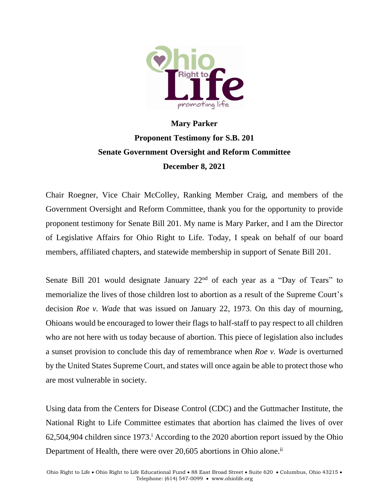

## **Mary Parker Proponent Testimony for S.B. 201 Senate Government Oversight and Reform Committee December 8, 2021**

Chair Roegner, Vice Chair McColley, Ranking Member Craig, and members of the Government Oversight and Reform Committee, thank you for the opportunity to provide proponent testimony for Senate Bill 201. My name is Mary Parker, and I am the Director of Legislative Affairs for Ohio Right to Life. Today, I speak on behalf of our board members, affiliated chapters, and statewide membership in support of Senate Bill 201.

Senate Bill 201 would designate January  $22<sup>nd</sup>$  of each year as a "Day of Tears" to memorialize the lives of those children lost to abortion as a result of the Supreme Court's decision *Roe v. Wade* that was issued on January 22, 1973. On this day of mourning, Ohioans would be encouraged to lower their flags to half-staff to pay respect to all children who are not here with us today because of abortion. This piece of legislation also includes a sunset provision to conclude this day of remembrance when *Roe v. Wade* is overturned by the United States Supreme Court, and states will once again be able to protect those who are most vulnerable in society.

Using data from the Centers for Disease Control (CDC) and the Guttmacher Institute, the National Right to Life Committee estimates that abortion has claimed the lives of over 62,504,904 children since 1973. <sup>i</sup> According to the 2020 abortion report issued by the Ohio Department of Health, there were over 20,605 abortions in Ohio alone.<sup>ii</sup>